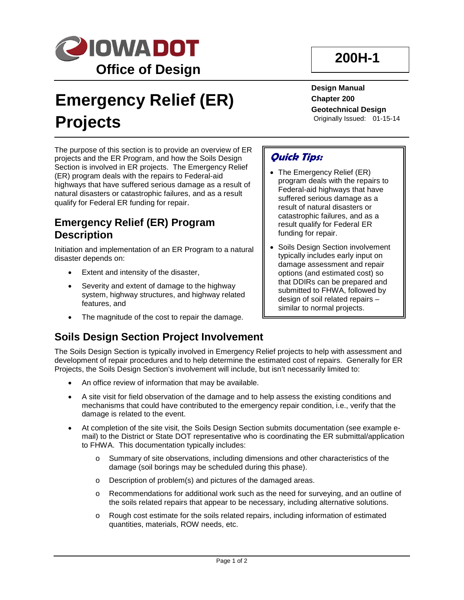

# **Emergency Relief (ER) Projects**

The purpose of this section is to provide an overview of ER projects and the ER Program, and how the Soils Design Section is involved in ER projects. The Emergency Relief (ER) program deals with the repairs to Federal-aid highways that have suffered serious damage as a result of natural disasters or catastrophic failures, and as a result qualify for Federal ER funding for repair.

#### **Emergency Relief (ER) Program Description**

Initiation and implementation of an ER Program to a natural disaster depends on:

- Extent and intensity of the disaster,
- Severity and extent of damage to the highway system, highway structures, and highway related features, and
- The magnitude of the cost to repair the damage.

#### **Soils Design Section Project Involvement**

## **200H-1**

**Design Manual Chapter 200 Geotechnical Design** Originally Issued: 01-15-14

#### **Quick Tips:**

- The Emergency Relief (ER) program deals with the repairs to Federal-aid highways that have suffered serious damage as a result of natural disasters or catastrophic failures, and as a result qualify for Federal ER funding for repair.
- Soils Design Section involvement typically includes early input on damage assessment and repair options (and estimated cost) so that DDIRs can be prepared and submitted to FHWA, followed by design of soil related repairs – similar to normal projects.

The Soils Design Section is typically involved in Emergency Relief projects to help with assessment and development of repair procedures and to help determine the estimated cost of repairs. Generally for ER Projects, the Soils Design Section's involvement will include, but isn't necessarily limited to:

- An office review of information that may be available.
- A site visit for field observation of the damage and to help assess the existing conditions and mechanisms that could have contributed to the emergency repair condition, i.e., verify that the damage is related to the event.
- At completion of the site visit, the Soils Design Section submits documentation (see example email) to the District or State DOT representative who is coordinating the ER submittal/application to FHWA. This documentation typically includes:
	- o Summary of site observations, including dimensions and other characteristics of the damage (soil borings may be scheduled during this phase).
	- o Description of problem(s) and pictures of the damaged areas.
	- o Recommendations for additional work such as the need for surveying, and an outline of the soils related repairs that appear to be necessary, including alternative solutions.
	- o Rough cost estimate for the soils related repairs, including information of estimated quantities, materials, ROW needs, etc.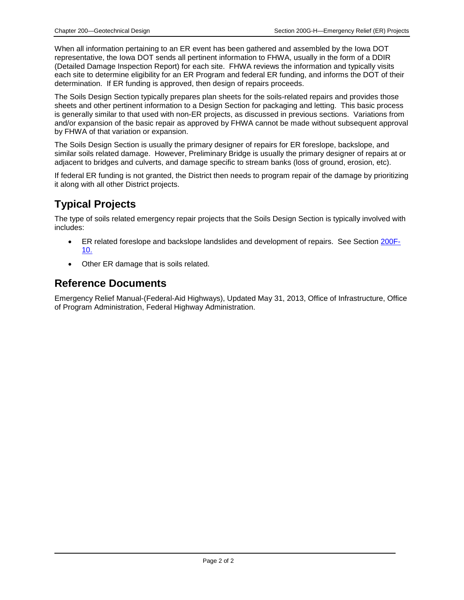When all information pertaining to an ER event has been gathered and assembled by the Iowa DOT representative, the Iowa DOT sends all pertinent information to FHWA, usually in the form of a DDIR (Detailed Damage Inspection Report) for each site. FHWA reviews the information and typically visits each site to determine eligibility for an ER Program and federal ER funding, and informs the DOT of their determination. If ER funding is approved, then design of repairs proceeds.

The Soils Design Section typically prepares plan sheets for the soils-related repairs and provides those sheets and other pertinent information to a Design Section for packaging and letting. This basic process is generally similar to that used with non-ER projects, as discussed in previous sections. Variations from and/or expansion of the basic repair as approved by FHWA cannot be made without subsequent approval by FHWA of that variation or expansion.

The Soils Design Section is usually the primary designer of repairs for ER foreslope, backslope, and similar soils related damage. However, Preliminary Bridge is usually the primary designer of repairs at or adjacent to bridges and culverts, and damage specific to stream banks (loss of ground, erosion, etc).

If federal ER funding is not granted, the District then needs to program repair of the damage by prioritizing it along with all other District projects.

### **Typical Projects**

The type of soils related emergency repair projects that the Soils Design Section is typically involved with includes:

- ER related foreslope and backslope landslides and development of repairs. See Section 200F-10.
- Other ER damage that is soils related.

#### **Reference Documents**

Emergency Relief Manual-(Federal-Aid Highways), Updated May 31, 2013, Office of Infrastructure, Office of Program Administration, Federal Highway Administration.